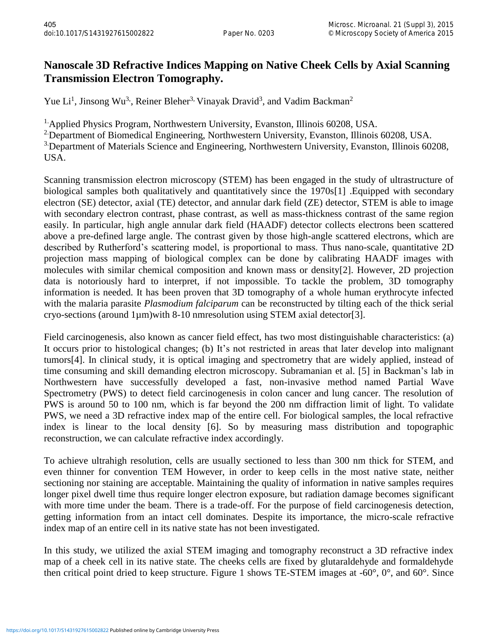## **Nanoscale 3D Refractive Indices Mapping on Native Cheek Cells by Axial Scanning Transmission Electron Tomography.**

Yue Li<sup>1</sup>, Jinsong Wu<sup>3</sup>, Reiner Bleher<sup>3,</sup> Vinayak Dravid<sup>3</sup>, and Vadim Backman<sup>2</sup>

<sup>1.</sup> Applied Physics Program, Northwestern University, Evanston, Illinois 60208, USA.

<sup>2</sup> Department of Biomedical Engineering, Northwestern University, Evanston, Illinois 60208, USA. <sup>3</sup> Department of Materials Science and Engineering, Northwestern University, Evanston, Illinois 60208,

USA.

Scanning transmission electron microscopy (STEM) has been engaged in the study of ultrastructure of biological samples both qualitatively and quantitatively since the 1970s[1] .Equipped with secondary electron (SE) detector, axial (TE) detector, and annular dark field (ZE) detector, STEM is able to image with secondary electron contrast, phase contrast, as well as mass-thickness contrast of the same region easily. In particular, high angle annular dark field (HAADF) detector collects electrons been scattered above a pre-defined large angle. The contrast given by those high-angle scattered electrons, which are described by Rutherford's scattering model, is proportional to mass. Thus nano-scale, quantitative 2D projection mass mapping of biological complex can be done by calibrating HAADF images with molecules with similar chemical composition and known mass or density[2]. However, 2D projection data is notoriously hard to interpret, if not impossible. To tackle the problem, 3D tomography information is needed. It has been proven that 3D tomography of a whole human erythrocyte infected with the malaria parasite *Plasmodium falciparum* can be reconstructed by tilting each of the thick serial cryo-sections (around 1µm)with 8-10 nmresolution using STEM axial detector[3].

Field carcinogenesis, also known as cancer field effect, has two most distinguishable characteristics: (a) It occurs prior to histological changes; (b) It's not restricted in areas that later develop into malignant tumors[4]. In clinical study, it is optical imaging and spectrometry that are widely applied, instead of time consuming and skill demanding electron microscopy. Subramanian et al. [5] in Backman's lab in Northwestern have successfully developed a fast, non-invasive method named Partial Wave Spectrometry (PWS) to detect field carcinogenesis in colon cancer and lung cancer. The resolution of PWS is around 50 to 100 nm, which is far beyond the 200 nm diffraction limit of light. To validate PWS, we need a 3D refractive index map of the entire cell. For biological samples, the local refractive index is linear to the local density [6]. So by measuring mass distribution and topographic reconstruction, we can calculate refractive index accordingly.

To achieve ultrahigh resolution, cells are usually sectioned to less than 300 nm thick for STEM, and even thinner for convention TEM However, in order to keep cells in the most native state, neither sectioning nor staining are acceptable. Maintaining the quality of information in native samples requires longer pixel dwell time thus require longer electron exposure, but radiation damage becomes significant with more time under the beam. There is a trade-off. For the purpose of field carcinogenesis detection, getting information from an intact cell dominates. Despite its importance, the micro-scale refractive index map of an entire cell in its native state has not been investigated.

In this study, we utilized the axial STEM imaging and tomography reconstruct a 3D refractive index map of a cheek cell in its native state. The cheeks cells are fixed by glutaraldehyde and formaldehyde then critical point dried to keep structure. Figure 1 shows TE-STEM images at -60°, 0°, and 60°. Since